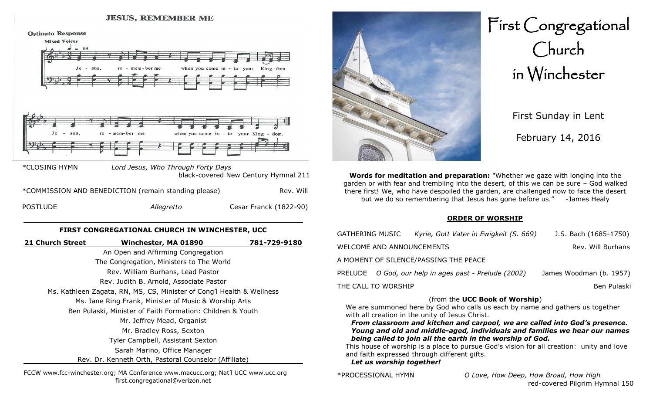#### **JESUS, REMEMBER ME**

**Ostinato Response** 



| *COMMISSION AND BENEDICTION (remain standing please) |            | Rev. Will              |
|------------------------------------------------------|------------|------------------------|
| <b>POSTLUDE</b>                                      | Allegretto | Cesar Franck (1822-90) |

### **FIRST CONGREGATIONAL CHURCH IN WINCHESTER, UCC**

| 21 Church Street | Winchester, MA 01890                                                  | 781-729-9180 |
|------------------|-----------------------------------------------------------------------|--------------|
|                  | An Open and Affirming Congregation                                    |              |
|                  | The Congregation, Ministers to The World                              |              |
|                  | Rev. William Burhans, Lead Pastor                                     |              |
|                  | Rev. Judith B. Arnold, Associate Pastor                               |              |
|                  | Ms. Kathleen Zagata, RN, MS, CS, Minister of Cong'l Health & Wellness |              |
|                  | Ms. Jane Ring Frank, Minister of Music & Worship Arts                 |              |
|                  | Ben Pulaski, Minister of Faith Formation: Children & Youth            |              |
|                  | Mr. Jeffrey Mead, Organist                                            |              |
|                  | Mr. Bradley Ross, Sexton                                              |              |
|                  | Tyler Campbell, Assistant Sexton                                      |              |
|                  | Sarah Marino, Office Manager                                          |              |
|                  | Rev. Dr. Kenneth Orth, Pastoral Counselor (Affiliate)                 |              |
|                  |                                                                       |              |

FCCW www.fcc-winchester.org; MA Conference www.macucc.org; Nat'l UCC www.ucc.org first.congregational@verizon.net



First Congregational Church in Winchester

> First Sunday in Lent February 14, 2016

**Words for meditation and preparation:** "Whether we gaze with longing into the garden or with fear and trembling into the desert, of this we can be sure – God walked there first! We, who have despoiled the garden, are challenged now to face the desert but we do so remembering that Jesus has gone before us." -James Healy

#### **ORDER OF WORSHIP**

| <b>GATHERING MUSIC</b>                         | J.S. Bach (1685-1750)<br>Kyrie, Gott Vater in Ewigkeit (S. 669) |                         |  |
|------------------------------------------------|-----------------------------------------------------------------|-------------------------|--|
| Rev. Will Burhans<br>WELCOME AND ANNOUNCEMENTS |                                                                 |                         |  |
| A MOMENT OF SILENCE/PASSING THE PEACE          |                                                                 |                         |  |
|                                                | PRELUDE O God, our help in ages past - Prelude (2002)           | James Woodman (b. 1957) |  |
| THE CALL TO WORSHIP<br>Ben Pulaski             |                                                                 |                         |  |
|                                                |                                                                 |                         |  |

## (from the **UCC Book of Worship**)

We are summoned here by God who calls us each by name and gathers us together with all creation in the unity of Jesus Christ.

*From classroom and kitchen and carpool, we are called into God's presence. Young and old and middle-aged, individuals and families we hear our names being called to join all the earth in the worship of God.*

This house of worship is a place to pursue God's vision for all creation: unity and love and faith expressed through different gifts.

*Let us worship together!*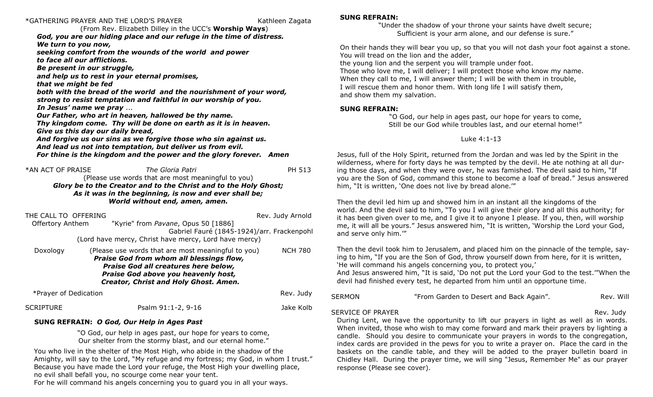# \*GATHERING PRAYER AND THE LORD'S PRAYER Kathleen Zagata

(From Rev. Elizabeth Dilley in the UCC's **Worship Ways**) *God, you are our hiding place and our refuge in the time of distress. We turn to you now, seeking comfort from the wounds of the world and power to face all our afflictions. Be present in our struggle, and help us to rest in your eternal promises, that we might be fed both with the bread of the world and the nourishment of your word, strong to resist temptation and faithful in our worship of you. In Jesus' name we pray* ... *Our Father, who art in heaven, hallowed be thy name. Thy kingdom come. Thy will be done on earth as it is in heaven. Give us this day our daily bread, And forgive us our sins as we forgive those who sin against us. And lead us not into temptation, but deliver us from evil. For thine is the kingdom and the power and the glory forever. Amen*

| *AN ACT OF PRAISE | The Gloria Patri                                                 | PH 513 |
|-------------------|------------------------------------------------------------------|--------|
|                   | (Please use words that are most meaningful to you)               |        |
|                   | Glory be to the Creator and to the Christ and to the Holy Ghost; |        |
|                   | As it was in the beginning, is now and ever shall be;            |        |
|                   | World without end, amen, amen.                                   |        |
|                   |                                                                  |        |

| THE CALL TO OFFERING    |                                                       | Rev. Judy Arnold |
|-------------------------|-------------------------------------------------------|------------------|
| <b>Offertory Anthem</b> | "Kyrie" from Pavane, Opus 50 [1886]                   |                  |
|                         | Gabriel Fauré (1845-1924)/arr. Frackenpohl            |                  |
|                         | (Lord have mercy, Christ have mercy, Lord have mercy) |                  |
| Doxology                | (Please use words that are most meaningful to you)    | <b>NCH 780</b>   |
|                         | Praise God from whom all blessings flow,              |                  |
|                         | Praise God all creatures here below,                  |                  |
|                         | Praise God above you heavenly host,                   |                  |
|                         | Creator, Christ and Holy Ghost. Amen.                 |                  |
| *Prayer of Dedication   |                                                       | Rev. Judy        |
| <b>SCRIPTURE</b>        | Psalm 91:1-2, 9-16                                    | Jake Kolb        |

# **SUNG REFRAIN:** *O God, Our Help in Ages Past*

"O God, our help in ages past, our hope for years to come, Our shelter from the stormy blast, and our eternal home."

You who live in the shelter of the Most High, who abide in the shadow of the Amighty, will say to the Lord, "My refuge and my fortress; my God, in whom I trust." Because you have made the Lord your refuge, the Most High your dwelling place, no evil shall befall you, no scourge come near your tent.

For he will command his angels concerning you to guard you in all your ways.

# **SUNG REFRAIN:**

"Under the shadow of your throne your saints have dwelt secure; Sufficient is your arm alone, and our defense is sure."

On their hands they will bear you up, so that you will not dash your foot against a stone. You will tread on the lion and the adder,

the young lion and the serpent you will trample under foot.

Those who love me, I will deliver; I will protect those who know my name. When they call to me, I will answer them; I will be with them in trouble, I will rescue them and honor them. With long life I will satisfy them, and show them my salvation.

# **SUNG REFRAIN:**

"O God, our help in ages past, our hope for years to come, Still be our God while troubles last, and our eternal home!"

# Luke 4:1-13

Jesus, full of the Holy Spirit, returned from the Jordan and was led by the Spirit in the wilderness, where for forty days he was tempted by the devil. He ate nothing at all during those days, and when they were over, he was famished. The devil said to him, "If you are the Son of God, command this stone to become a loaf of bread." Jesus answered him, "It is written, 'One does not live by bread alone.'"

Then the devil led him up and showed him in an instant all the kingdoms of the world. And the devil said to him, "To you I will give their glory and all this authority; for it has been given over to me, and I give it to anyone I please. If you, then, will worship me, it will all be yours." Jesus answered him, "It is written, 'Worship the Lord your God, and serve only him.'"

Then the devil took him to Jerusalem, and placed him on the pinnacle of the temple, saying to him, "If you are the Son of God, throw yourself down from here, for it is written, 'He will command his angels concerning you, to protect you,'

And Jesus answered him, "It is said, 'Do not put the Lord your God to the test.'"When the devil had finished every test, he departed from him until an opportune time.

| SERMON | "From Garden to Desert and Back Again". | Rev. Will |
|--------|-----------------------------------------|-----------|
|        |                                         |           |

SERVICE OF PRAYER **Rev. 100 and 100 and 100 and 100 and 100 and 100 and 100 and 100 and 100 and 100 and 100 and 100 and 100 and 100 and 100 and 100 and 100 and 100 and 100 and 100 and 100 and 100 and 100 and 100 and 100 an** 

During Lent, we have the opportunity to lift our prayers in light as well as in words. When invited, those who wish to may come forward and mark their prayers by lighting a candle. Should you desire to communicate your prayers in words to the congregation, index cards are provided in the pews for you to write a prayer on. Place the card in the baskets on the candle table, and they will be added to the prayer bulletin board in Chidley Hall. During the prayer time, we will sing "Jesus, Remember Me" as our prayer response (Please see cover).